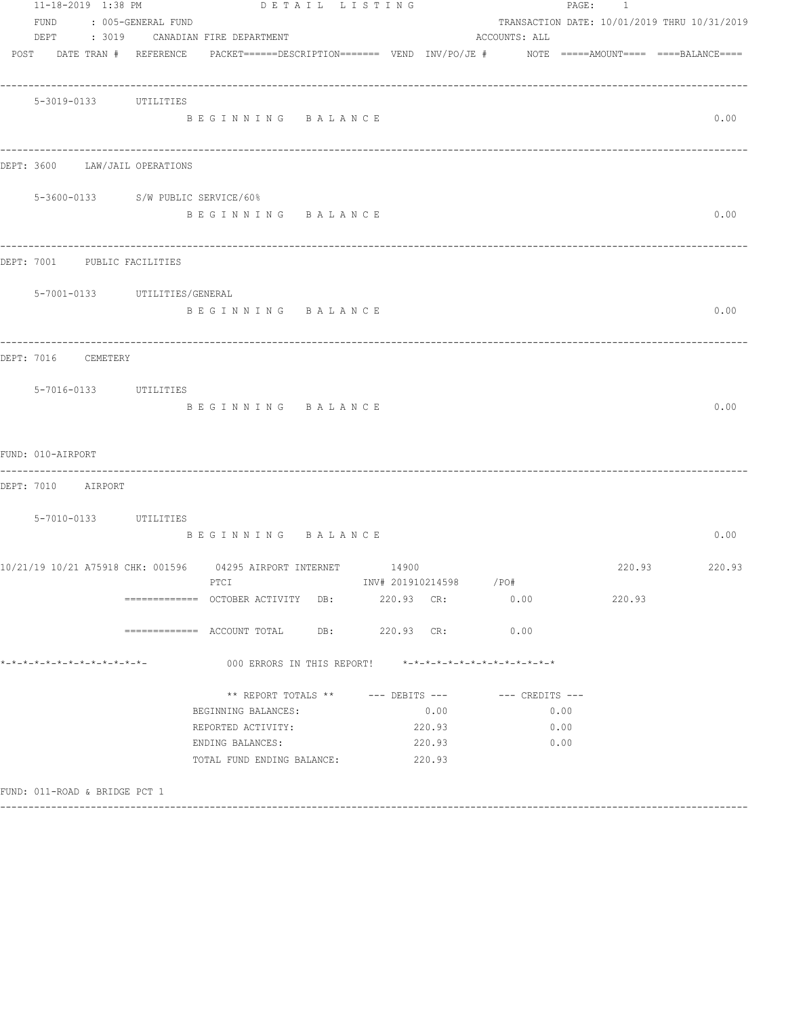|                               |  |                                | DETAIL LISTING                                                                                     |                                                         |                        |                 |      | PAGE: 1 |                                              |
|-------------------------------|--|--------------------------------|----------------------------------------------------------------------------------------------------|---------------------------------------------------------|------------------------|-----------------|------|---------|----------------------------------------------|
| FUND                          |  | : 005-GENERAL FUND             |                                                                                                    |                                                         |                        |                 |      |         | TRANSACTION DATE: 10/01/2019 THRU 10/31/2019 |
|                               |  |                                | DEPT : 3019 CANADIAN FIRE DEPARTMENT                                                               |                                                         |                        | ACCOUNTS: ALL   |      |         |                                              |
|                               |  | POST DATE TRAN # REFERENCE     | PACKET======DESCRIPTION========  VEND  INV/PO/JE #         NOTE  =====AMOUNT====  ====BALANCE===== |                                                         |                        |                 |      |         |                                              |
|                               |  | 5-3019-0133 UTILITIES          |                                                                                                    |                                                         |                        |                 |      |         |                                              |
|                               |  |                                | BEGINNING BALANCE                                                                                  |                                                         |                        |                 |      |         | 0.00                                         |
|                               |  | DEPT: 3600 LAW/JAIL OPERATIONS |                                                                                                    |                                                         |                        |                 |      |         |                                              |
|                               |  |                                | 5-3600-0133 S/W PUBLIC SERVICE/60%                                                                 |                                                         |                        |                 |      |         |                                              |
|                               |  |                                | BEGINNING BALANCE                                                                                  |                                                         |                        |                 |      |         | 0.00                                         |
|                               |  | DEPT: 7001 PUBLIC FACILITIES   |                                                                                                    |                                                         |                        |                 |      |         |                                              |
|                               |  | 5-7001-0133 UTILITIES/GENERAL  |                                                                                                    |                                                         |                        |                 |      |         |                                              |
|                               |  |                                | BEGINNING BALANCE                                                                                  |                                                         |                        |                 |      |         | 0.00                                         |
| DEPT: 7016 CEMETERY           |  |                                |                                                                                                    |                                                         |                        |                 |      |         |                                              |
|                               |  | 5-7016-0133 UTILITIES          |                                                                                                    |                                                         |                        |                 |      |         |                                              |
|                               |  |                                | BEGINNING BALANCE                                                                                  |                                                         |                        |                 |      |         | 0.00                                         |
| FUND: 010-AIRPORT             |  |                                |                                                                                                    |                                                         |                        |                 |      |         |                                              |
| DEPT: 7010 AIRPORT            |  |                                |                                                                                                    |                                                         |                        |                 |      |         |                                              |
|                               |  | 5-7010-0133 UTILITIES          |                                                                                                    |                                                         |                        |                 |      |         |                                              |
|                               |  |                                | BEGINNING BALANCE                                                                                  |                                                         |                        |                 |      |         | 0.00                                         |
|                               |  |                                | 10/21/19 10/21 A75918 CHK: 001596   04295 AIRPORT INTERNET   14900                                 |                                                         |                        |                 |      | 220.93  | 220.93                                       |
|                               |  |                                | PTCI<br>============= OCTOBER ACTIVITY DB: 220.93 CR: 0.00                                         |                                                         | INV# 201910214598 /PO# |                 |      | 220.93  |                                              |
|                               |  |                                | =============    ACCOUNT  TOTAL              DB:                   220.93      CR:                 |                                                         |                        | 0.00            |      |         |                                              |
| *-*-*-*-*-*-*-*-*-*-*-*-*-*-  |  |                                |                                                                                                    | 000 ERRORS IN THIS REPORT! *-*-*-*-*-*-*-*-*-*-*-*-*-*- |                        |                 |      |         |                                              |
|                               |  |                                |                                                                                                    | $**$ REPORT TOTALS $**$ --- DEBITS ---                  |                        | --- CREDITS --- |      |         |                                              |
|                               |  |                                | BEGINNING BALANCES:                                                                                |                                                         | 0.00                   |                 | 0.00 |         |                                              |
|                               |  |                                | REPORTED ACTIVITY:                                                                                 |                                                         | 220.93                 |                 | 0.00 |         |                                              |
|                               |  |                                | ENDING BALANCES:                                                                                   |                                                         | 220.93                 |                 | 0.00 |         |                                              |
|                               |  |                                | TOTAL FUND ENDING BALANCE: 220.93                                                                  |                                                         |                        |                 |      |         |                                              |
| FUND: 011-ROAD & BRIDGE PCT 1 |  |                                |                                                                                                    |                                                         |                        |                 |      |         |                                              |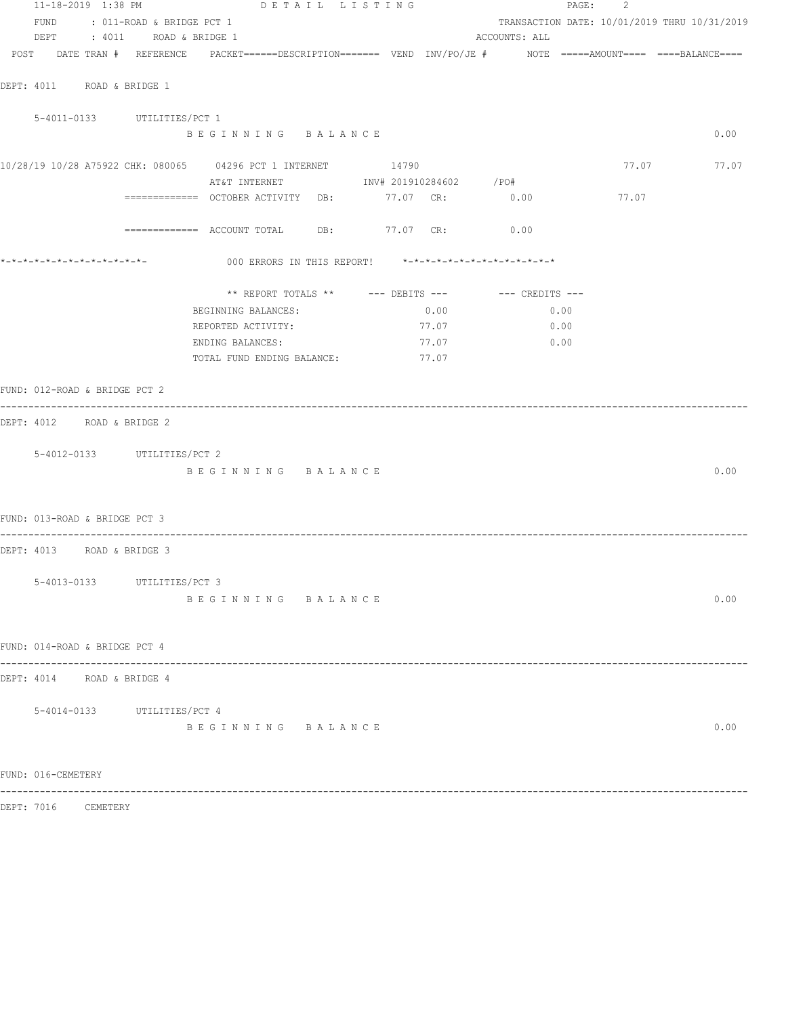| 11-18-2019 1:38 PM            |                   |                                | DETAIL LISTING                                                                                                  |  |  |       |               |      | PAGE: 2 |                                              |
|-------------------------------|-------------------|--------------------------------|-----------------------------------------------------------------------------------------------------------------|--|--|-------|---------------|------|---------|----------------------------------------------|
|                               |                   | FUND : 011-ROAD & BRIDGE PCT 1 |                                                                                                                 |  |  |       |               |      |         | TRANSACTION DATE: 10/01/2019 THRU 10/31/2019 |
|                               |                   | DEPT : 4011 ROAD & BRIDGE 1    |                                                                                                                 |  |  |       | ACCOUNTS: ALL |      |         |                                              |
|                               |                   |                                | POST DATE TRAN # REFERENCE PACKET======DESCRIPTION======= VEND INV/PO/JE # NOTE =====AMOUNT==== ====BALANCE==== |  |  |       |               |      |         |                                              |
| DEPT: 4011 ROAD & BRIDGE 1    |                   |                                |                                                                                                                 |  |  |       |               |      |         |                                              |
|                               |                   | 5-4011-0133 UTILITIES/PCT 1    |                                                                                                                 |  |  |       |               |      |         |                                              |
|                               |                   |                                | BEGINNING BALANCE                                                                                               |  |  |       |               |      |         | 0.00                                         |
|                               |                   |                                | 10/28/19 10/28 A75922 CHK: 080065 04296 PCT 1 INTERNET 14790                                                    |  |  |       |               |      |         | 77.07 77.07                                  |
|                               |                   |                                | AT&T INTERNET TNV# 201910284602 / PO#                                                                           |  |  |       |               |      |         |                                              |
|                               |                   |                                | ============= OCTOBER ACTIVITY DB: 77.07 CR: 0.00                                                               |  |  |       |               |      | 77.07   |                                              |
|                               |                   |                                | ============ ACCOUNT TOTAL DB: 77.07 CR: 0.00                                                                   |  |  |       |               |      |         |                                              |
|                               |                   |                                | *-*-*-*-*-*-*-*-*-*-*-*-*-           000 ERRORS IN THIS REPORT!    *-*-*-*-*-*-*-*-*-*-*-*-*-*                  |  |  |       |               |      |         |                                              |
|                               |                   |                                | ** REPORT TOTALS ** --- DEBITS --- -- -- CREDITS ---                                                            |  |  |       |               |      |         |                                              |
|                               |                   |                                | BEGINNING BALANCES:                                                                                             |  |  | 0.00  |               | 0.00 |         |                                              |
|                               |                   |                                | REPORTED ACTIVITY:                                                                                              |  |  | 77.07 |               | 0.00 |         |                                              |
|                               |                   |                                | ENDING BALANCES:                                                                                                |  |  | 77.07 |               | 0.00 |         |                                              |
|                               |                   |                                | TOTAL FUND ENDING BALANCE:                                                                                      |  |  | 77.07 |               |      |         |                                              |
| FUND: 012-ROAD & BRIDGE PCT 2 |                   |                                |                                                                                                                 |  |  |       |               |      |         |                                              |
| DEPT: 4012 ROAD & BRIDGE 2    | ----------------- |                                |                                                                                                                 |  |  |       |               |      |         |                                              |
|                               |                   |                                |                                                                                                                 |  |  |       |               |      |         |                                              |
|                               |                   | 5-4012-0133 UTILITIES/PCT 2    |                                                                                                                 |  |  |       |               |      |         |                                              |
|                               |                   |                                | BEGINNING BALANCE                                                                                               |  |  |       |               |      |         | 0.00                                         |
| FUND: 013-ROAD & BRIDGE PCT 3 |                   |                                |                                                                                                                 |  |  |       |               |      |         |                                              |
| DEPT: 4013 ROAD & BRIDGE 3    |                   |                                |                                                                                                                 |  |  |       |               |      |         |                                              |
|                               |                   |                                |                                                                                                                 |  |  |       |               |      |         |                                              |
|                               |                   | 5-4013-0133 UTILITIES/PCT 3    |                                                                                                                 |  |  |       |               |      |         |                                              |
|                               |                   |                                | BEGINNING BALANCE                                                                                               |  |  |       |               |      |         | 0.00                                         |
| FUND: 014-ROAD & BRIDGE PCT 4 |                   |                                |                                                                                                                 |  |  |       |               |      |         |                                              |
| DEPT: 4014 ROAD & BRIDGE 4    |                   |                                |                                                                                                                 |  |  |       |               |      |         |                                              |
|                               |                   | 5-4014-0133 UTILITIES/PCT 4    |                                                                                                                 |  |  |       |               |      |         |                                              |
|                               |                   |                                | BEGINNING BALANCE                                                                                               |  |  |       |               |      |         | 0.00                                         |
|                               |                   |                                |                                                                                                                 |  |  |       |               |      |         |                                              |
| FUND: 016-CEMETERY            |                   |                                |                                                                                                                 |  |  |       |               |      |         |                                              |

DEPT: 7016 CEMETERY